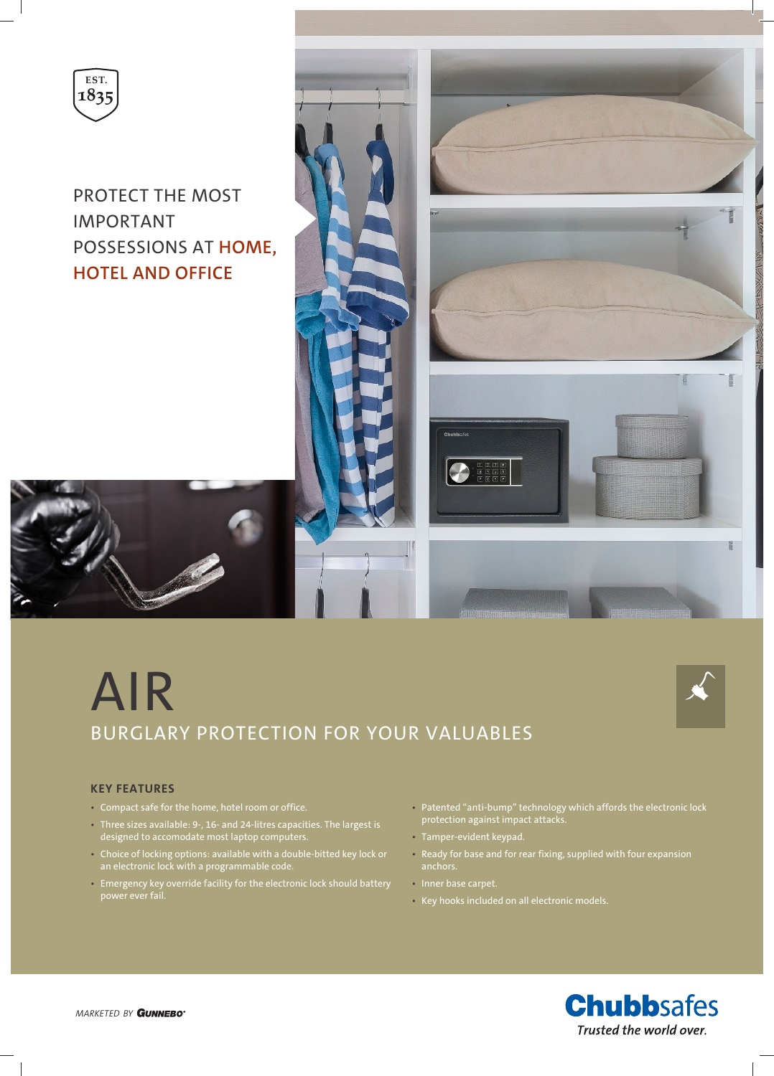

PROTECT THE MOST IMPORTANT POSSESSIONS AT **HOME, HOTEL AND OFFICE**



# AIR BURGLARY PROTECTION FOR YOUR VALUABLES



## **KEY FEATURES**

- Compact safe for the home, hotel room or office.
- Three sizes available: 9-, 16- and 24-litres capacities. The largest is designed to accomodate most laptop computers.
- Choice of locking options: available with a double-bitted key lock or an electronic lock with a programmable code.
- Emergency key override facility for the electronic lock should battery power ever fail.
- Patented "anti-bump" technology which affords the electronic lock protection against impact attacks.
- Tamper-evident keypad.
- Ready for base and for rear fixing, supplied with four expansion anchors.
- Inner base carpet.
- Key hooks included on all electronic models.